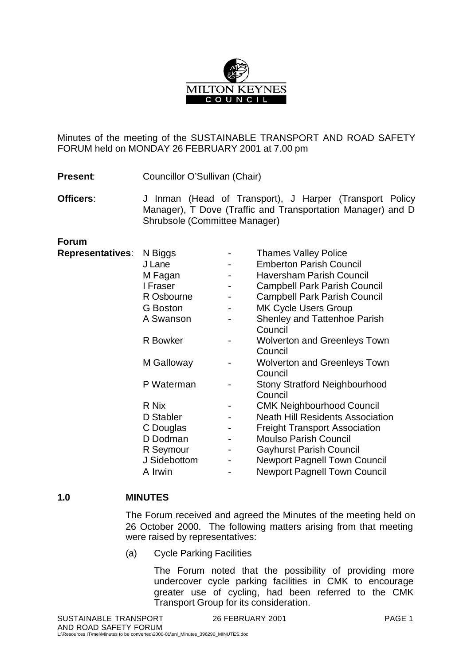

Minutes of the meeting of the SUSTAINABLE TRANSPORT AND ROAD SAFETY FORUM held on MONDAY 26 FEBRUARY 2001 at 7.00 pm

**Present:** Councillor O'Sullivan (Chair)

**Officers:** J Inman (Head of Transport), J Harper (Transport Policy Manager), T Dove (Traffic and Transportation Manager) and D Shrubsole (Committee Manager)

**Forum**

| N Biggs<br>J Lane<br>M Fagan<br>I Fraser<br>R Osbourne<br><b>G</b> Boston<br>A Swanson<br>R Bowker |                                                           | <b>Thames Valley Police</b><br><b>Emberton Parish Council</b><br><b>Haversham Parish Council</b><br><b>Campbell Park Parish Council</b><br><b>Campbell Park Parish Council</b><br><b>MK Cycle Users Group</b><br><b>Shenley and Tattenhoe Parish</b><br>Council<br><b>Wolverton and Greenleys Town</b><br>Council |
|----------------------------------------------------------------------------------------------------|-----------------------------------------------------------|-------------------------------------------------------------------------------------------------------------------------------------------------------------------------------------------------------------------------------------------------------------------------------------------------------------------|
| M Galloway                                                                                         |                                                           | <b>Wolverton and Greenleys Town</b><br>Council<br><b>Stony Stratford Neighbourhood</b>                                                                                                                                                                                                                            |
|                                                                                                    |                                                           | Council                                                                                                                                                                                                                                                                                                           |
|                                                                                                    |                                                           | <b>CMK Neighbourhood Council</b>                                                                                                                                                                                                                                                                                  |
|                                                                                                    |                                                           | <b>Neath Hill Residents Association</b>                                                                                                                                                                                                                                                                           |
|                                                                                                    |                                                           | <b>Freight Transport Association</b>                                                                                                                                                                                                                                                                              |
|                                                                                                    |                                                           | <b>Moulso Parish Council</b>                                                                                                                                                                                                                                                                                      |
| R Seymour                                                                                          |                                                           | <b>Gayhurst Parish Council</b>                                                                                                                                                                                                                                                                                    |
| J Sidebottom                                                                                       |                                                           | <b>Newport Pagnell Town Council</b>                                                                                                                                                                                                                                                                               |
| A Irwin                                                                                            |                                                           | <b>Newport Pagnell Town Council</b>                                                                                                                                                                                                                                                                               |
|                                                                                                    | P Waterman<br>R Nix<br>D Stabler<br>C Douglas<br>D Dodman |                                                                                                                                                                                                                                                                                                                   |

## **1.0 MINUTES**

The Forum received and agreed the Minutes of the meeting held on 26 October 2000. The following matters arising from that meeting were raised by representatives:

(a) Cycle Parking Facilities

The Forum noted that the possibility of providing more undercover cycle parking facilities in CMK to encourage greater use of cycling, had been referred to the CMK Transport Group for its consideration.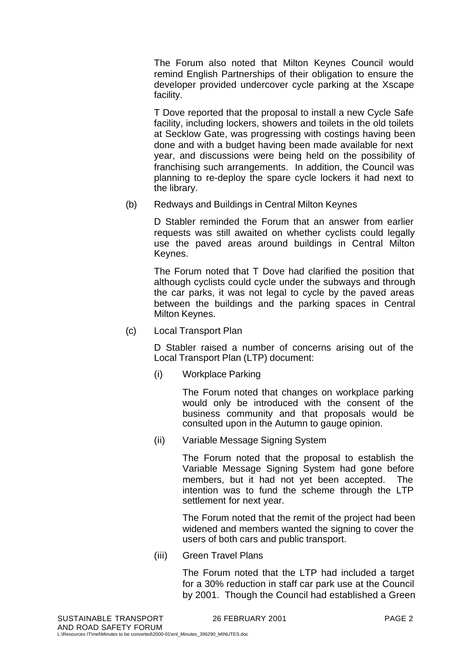The Forum also noted that Milton Keynes Council would remind English Partnerships of their obligation to ensure the developer provided undercover cycle parking at the Xscape facility.

T Dove reported that the proposal to install a new Cycle Safe facility, including lockers, showers and toilets in the old toilets at Secklow Gate, was progressing with costings having been done and with a budget having been made available for next year, and discussions were being held on the possibility of franchising such arrangements. In addition, the Council was planning to re-deploy the spare cycle lockers it had next to the library.

(b) Redways and Buildings in Central Milton Keynes

D Stabler reminded the Forum that an answer from earlier requests was still awaited on whether cyclists could legally use the paved areas around buildings in Central Milton Keynes.

The Forum noted that T Dove had clarified the position that although cyclists could cycle under the subways and through the car parks, it was not legal to cycle by the paved areas between the buildings and the parking spaces in Central Milton Keynes.

(c) Local Transport Plan

D Stabler raised a number of concerns arising out of the Local Transport Plan (LTP) document:

(i) Workplace Parking

The Forum noted that changes on workplace parking would only be introduced with the consent of the business community and that proposals would be consulted upon in the Autumn to gauge opinion.

(ii) Variable Message Signing System

The Forum noted that the proposal to establish the Variable Message Signing System had gone before members, but it had not yet been accepted. The intention was to fund the scheme through the LTP settlement for next year.

The Forum noted that the remit of the project had been widened and members wanted the signing to cover the users of both cars and public transport.

(iii) Green Travel Plans

The Forum noted that the LTP had included a target for a 30% reduction in staff car park use at the Council by 2001. Though the Council had established a Green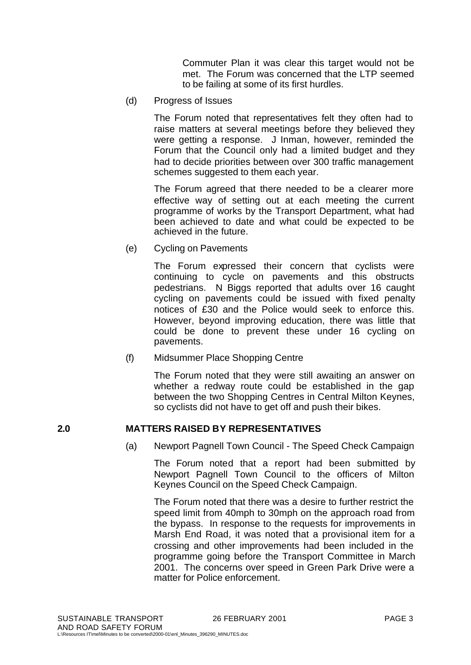Commuter Plan it was clear this target would not be met. The Forum was concerned that the LTP seemed to be failing at some of its first hurdles.

(d) Progress of Issues

The Forum noted that representatives felt they often had to raise matters at several meetings before they believed they were getting a response. J Inman, however, reminded the Forum that the Council only had a limited budget and they had to decide priorities between over 300 traffic management schemes suggested to them each year.

The Forum agreed that there needed to be a clearer more effective way of setting out at each meeting the current programme of works by the Transport Department, what had been achieved to date and what could be expected to be achieved in the future.

(e) Cycling on Pavements

The Forum expressed their concern that cyclists were continuing to cycle on pavements and this obstructs pedestrians. N Biggs reported that adults over 16 caught cycling on pavements could be issued with fixed penalty notices of £30 and the Police would seek to enforce this. However, beyond improving education, there was little that could be done to prevent these under 16 cycling on pavements.

(f) Midsummer Place Shopping Centre

The Forum noted that they were still awaiting an answer on whether a redway route could be established in the gap between the two Shopping Centres in Central Milton Keynes, so cyclists did not have to get off and push their bikes.

## **2.0 MATTERS RAISED BY REPRESENTATIVES**

(a) Newport Pagnell Town Council - The Speed Check Campaign

The Forum noted that a report had been submitted by Newport Pagnell Town Council to the officers of Milton Keynes Council on the Speed Check Campaign.

The Forum noted that there was a desire to further restrict the speed limit from 40mph to 30mph on the approach road from the bypass. In response to the requests for improvements in Marsh End Road, it was noted that a provisional item for a crossing and other improvements had been included in the programme going before the Transport Committee in March 2001. The concerns over speed in Green Park Drive were a matter for Police enforcement.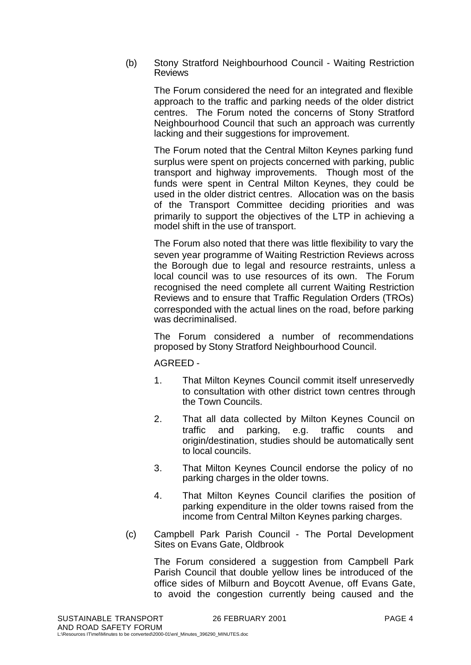(b) Stony Stratford Neighbourhood Council - Waiting Restriction Reviews

The Forum considered the need for an integrated and flexible approach to the traffic and parking needs of the older district centres. The Forum noted the concerns of Stony Stratford Neighbourhood Council that such an approach was currently lacking and their suggestions for improvement.

The Forum noted that the Central Milton Keynes parking fund surplus were spent on projects concerned with parking, public transport and highway improvements. Though most of the funds were spent in Central Milton Keynes, they could be used in the older district centres. Allocation was on the basis of the Transport Committee deciding priorities and was primarily to support the objectives of the LTP in achieving a model shift in the use of transport.

The Forum also noted that there was little flexibility to vary the seven year programme of Waiting Restriction Reviews across the Borough due to legal and resource restraints, unless a local council was to use resources of its own. The Forum recognised the need complete all current Waiting Restriction Reviews and to ensure that Traffic Regulation Orders (TROs) corresponded with the actual lines on the road, before parking was decriminalised.

The Forum considered a number of recommendations proposed by Stony Stratford Neighbourhood Council.

AGREED -

- 1. That Milton Keynes Council commit itself unreservedly to consultation with other district town centres through the Town Councils.
- 2. That all data collected by Milton Keynes Council on traffic and parking, e.g. traffic counts and origin/destination, studies should be automatically sent to local councils.
- 3. That Milton Keynes Council endorse the policy of no parking charges in the older towns.
- 4. That Milton Keynes Council clarifies the position of parking expenditure in the older towns raised from the income from Central Milton Keynes parking charges.
- (c) Campbell Park Parish Council The Portal Development Sites on Evans Gate, Oldbrook

The Forum considered a suggestion from Campbell Park Parish Council that double yellow lines be introduced of the office sides of Milburn and Boycott Avenue, off Evans Gate, to avoid the congestion currently being caused and the